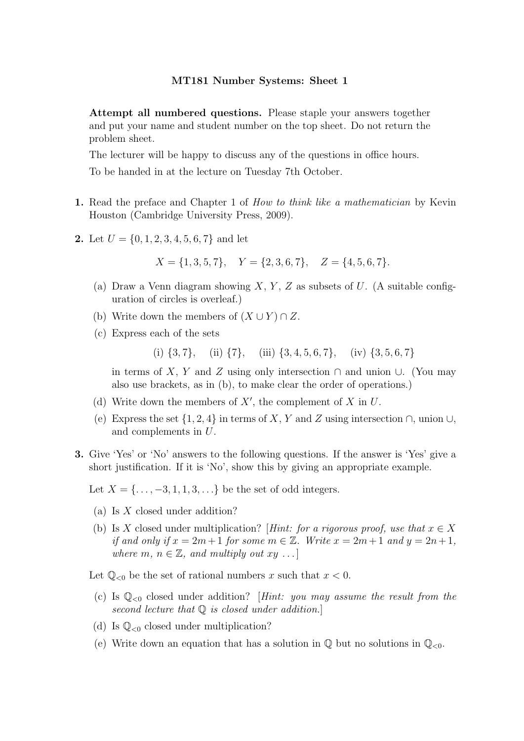Attempt all numbered questions. Please staple your answers together and put your name and student number on the top sheet. Do not return the problem sheet.

The lecturer will be happy to discuss any of the questions in office hours.

To be handed in at the lecture on Tuesday 7th October.

- 1. Read the preface and Chapter 1 of *How to think like a mathematician* by Kevin Houston (Cambridge University Press, 2009).
- 2. Let  $U = \{0, 1, 2, 3, 4, 5, 6, 7\}$  and let

$$
X = \{1, 3, 5, 7\}, \quad Y = \{2, 3, 6, 7\}, \quad Z = \{4, 5, 6, 7\}.
$$

- (a) Draw a Venn diagram showing  $X, Y, Z$  as subsets of U. (A suitable configuration of circles is overleaf.)
- (b) Write down the members of  $(X \cup Y) \cap Z$ .
- (c) Express each of the sets

(i)  $\{3, 7\}$ , (ii)  $\{7\}$ , (iii)  $\{3, 4, 5, 6, 7\}$ , (iv)  $\{3, 5, 6, 7\}$ 

in terms of X, Y and Z using only intersection  $\cap$  and union ∪. (You may also use brackets, as in (b), to make clear the order of operations.)

- (d) Write down the members of  $X'$ , the complement of X in U.
- (e) Express the set  $\{1, 2, 4\}$  in terms of X, Y and Z using intersection  $\cap$ , union  $\cup$ , and complements in U.
- 3. Give 'Yes' or 'No' answers to the following questions. If the answer is 'Yes' give a short justification. If it is 'No', show this by giving an appropriate example.

Let  $X = \{ \ldots, -3, 1, 1, 3, \ldots \}$  be the set of odd integers.

- (a) Is X closed under addition?
- (b) Is X closed under multiplication? [Hint: for a rigorous proof, use that  $x \in X$ if and only if  $x = 2m+1$  for some  $m \in \mathbb{Z}$ . Write  $x = 2m+1$  and  $y = 2n+1$ , where  $m, n \in \mathbb{Z}$ , and multiply out  $xy \dots$

Let  $\mathbb{Q}_{<0}$  be the set of rational numbers x such that  $x < 0$ .

- (c) Is  $\mathbb{Q}_{<0}$  closed under addition? [Hint: you may assume the result from the second lecture that  $Q$  is closed under addition.
- (d) Is  $\mathbb{Q}_{<0}$  closed under multiplication?
- (e) Write down an equation that has a solution in  $\mathbb Q$  but no solutions in  $\mathbb Q_{\leq 0}$ .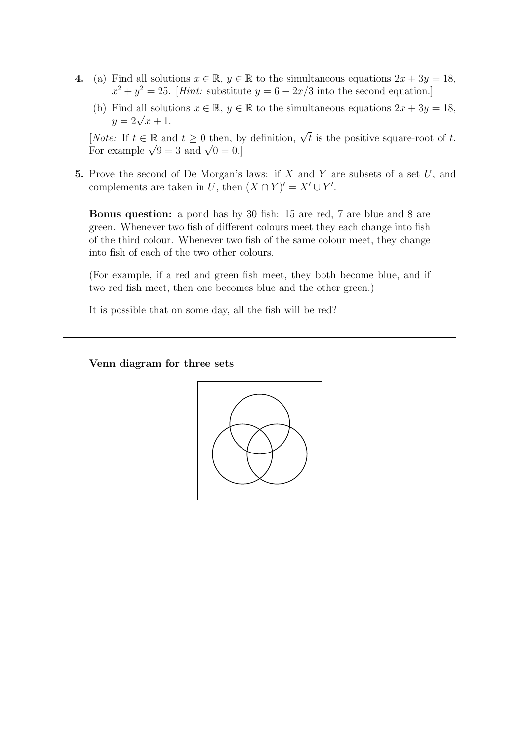- 4. (a) Find all solutions  $x \in \mathbb{R}$ ,  $y \in \mathbb{R}$  to the simultaneous equations  $2x + 3y = 18$ ,  $x^2 + y^2 = 25$ . [*Hint:* substitute  $y = 6 - 2x/3$  into the second equation.]
	- (b) Find all solutions  $x \in \mathbb{R}$ ,  $y \in \mathbb{R}$  to the simultaneous equations  $2x + 3y = 18$ ,  $y = 2\sqrt{x+1}.$

[*Note:* If  $t \in \mathbb{R}$  and  $t \geq 0$  then, by definition,  $\sqrt{t}$  is the positive square-root of t. For example  $\sqrt{9} = 3$  and  $\sqrt{0} = 0$ .

5. Prove the second of De Morgan's laws: if  $X$  and  $Y$  are subsets of a set  $U$ , and complements are taken in U, then  $(X \cap Y)' = X' \cup Y'$ .

Bonus question: a pond has by 30 fish: 15 are red, 7 are blue and 8 are green. Whenever two fish of different colours meet they each change into fish of the third colour. Whenever two fish of the same colour meet, they change into fish of each of the two other colours.

(For example, if a red and green fish meet, they both become blue, and if two red fish meet, then one becomes blue and the other green.)

It is possible that on some day, all the fish will be red?

# Venn diagram for three sets

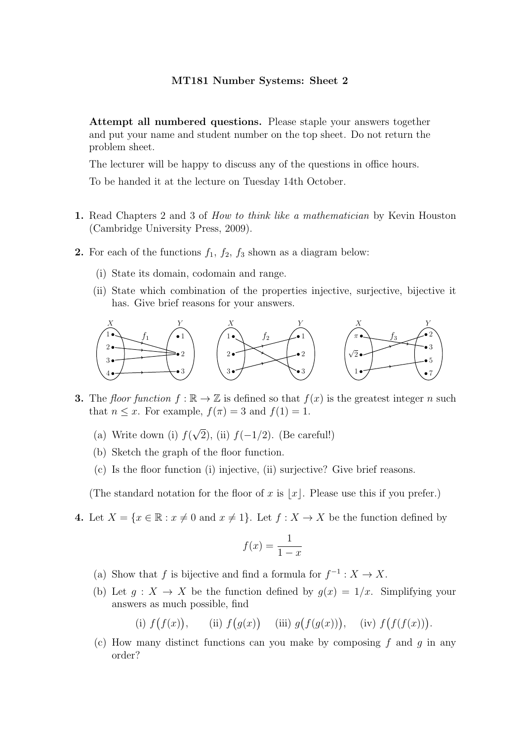Attempt all numbered questions. Please staple your answers together and put your name and student number on the top sheet. Do not return the problem sheet.

The lecturer will be happy to discuss any of the questions in office hours.

To be handed it at the lecture on Tuesday 14th October.

- 1. Read Chapters 2 and 3 of How to think like a mathematician by Kevin Houston (Cambridge University Press, 2009).
- **2.** For each of the functions  $f_1$ ,  $f_2$ ,  $f_3$  shown as a diagram below:
	- (i) State its domain, codomain and range.
	- (ii) State which combination of the properties injective, surjective, bijective it has. Give brief reasons for your answers.



- **3.** The floor function  $f : \mathbb{R} \to \mathbb{Z}$  is defined so that  $f(x)$  is the greatest integer n such that  $n \leq x$ . For example,  $f(\pi) = 3$  and  $f(1) = 1$ .
	- (a) Write down (i)  $f(\sqrt{2})$ , (ii)  $f(-1/2)$ . (Be careful!)
	- (b) Sketch the graph of the floor function.
	- (c) Is the floor function (i) injective, (ii) surjective? Give brief reasons.

(The standard notation for the floor of x is |x|. Please use this if you prefer.)

4. Let  $X = \{x \in \mathbb{R} : x \neq 0 \text{ and } x \neq 1\}$ . Let  $f : X \to X$  be the function defined by

$$
f(x) = \frac{1}{1 - x}
$$

- (a) Show that f is bijective and find a formula for  $f^{-1}: X \to X$ .
- (b) Let  $g: X \to X$  be the function defined by  $g(x) = 1/x$ . Simplifying your answers as much possible, find

(i)  $f(f(x))$ , (ii)  $f(g(x))$  (iii)  $g(f(g(x)))$ , (iv)  $f(f(f(x)))$ .

(c) How many distinct functions can you make by composing f and q in any order?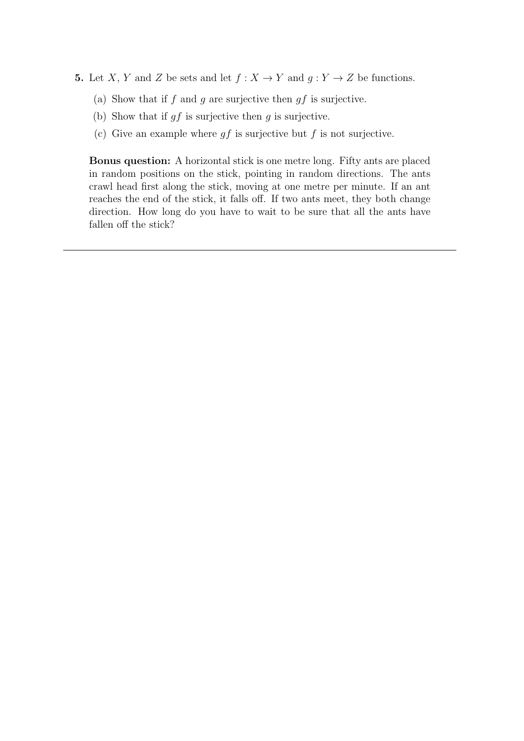- 5. Let X, Y and Z be sets and let  $f : X \to Y$  and  $g : Y \to Z$  be functions.
	- (a) Show that if  $f$  and  $g$  are surjective then  $gf$  is surjective.
	- (b) Show that if  $gf$  is surjective then  $g$  is surjective.
	- (c) Give an example where  $gf$  is surjective but f is not surjective.

Bonus question: A horizontal stick is one metre long. Fifty ants are placed in random positions on the stick, pointing in random directions. The ants crawl head first along the stick, moving at one metre per minute. If an ant reaches the end of the stick, it falls off. If two ants meet, they both change direction. How long do you have to wait to be sure that all the ants have fallen off the stick?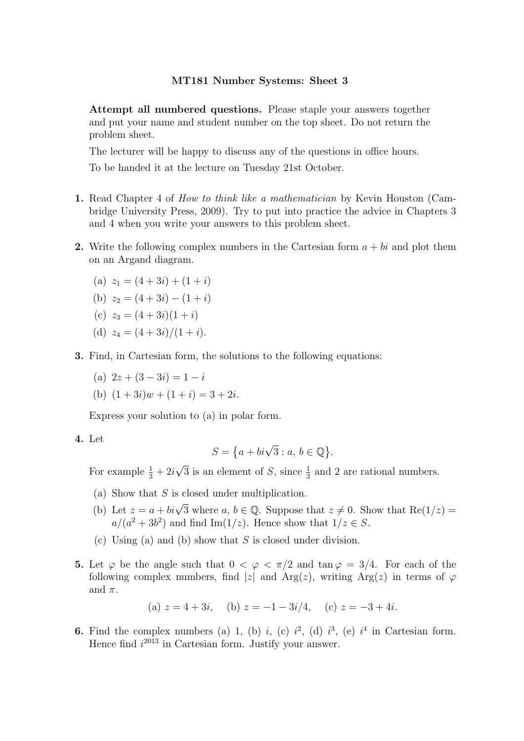Attempt all numbered questions. Please staple your answers together and put your name and student number on the top sheet. Do not return the problem sheet.

The lecturer will be happy to discuss any of the questions in office hours.

To be handed it at the lecture on Tuesday 21st October.

- 1. Read Chapter 4 of *How to think like a mathematician* by Kevin Houston (Cambridge University Press, 2009). Try to put into practice the advice in Chapters 3 and 4 when you write your answers to this problem sheet.
- 2. Write the following complex numbers in the Cartesian form  $a + bi$  and plot them on an Argand diagram.

(a) 
$$
z_1 = (4+3i) + (1+i)
$$

(b) 
$$
z_2 = (4+3i) - (1+i)
$$

(c) 
$$
z_3 = (4+3i)(1+i)
$$

- (d)  $z_4 = (4+3i)/(1+i)$ .
- 3. Find, in Cartesian form, the solutions to the following equations:
	- (a)  $2z + (3 3i) = 1 i$
	- (b)  $(1+3i)w + (1+i) = 3+2i$ .

Express your solution to (a) in polar form.

4. Let

$$
S = \left\{ a + bi\sqrt{3} : a, b \in \mathbb{Q} \right\}.
$$

For example  $\frac{1}{3} + 2i\sqrt{3}$  is an element of S, since  $\frac{1}{3}$  and 2 are rational numbers.

- (a) Show that  $S$  is closed under multiplication.
- (b) Let  $z = a + bi\sqrt{3}$  where  $a, b \in \mathbb{Q}$ . Suppose that  $z \neq 0$ . Show that  $\text{Re}(1/z) =$  $a/(a^2+3b^2)$  and find Im(1/z). Hence show that  $1/z \in S$ .
- (c) Using (a) and (b) show that  $S$  is closed under division.
- 5. Let  $\varphi$  be the angle such that  $0 < \varphi < \pi/2$  and  $\tan \varphi = 3/4$ . For each of the following complex numbers, find |z| and Arg(z), writing Arg(z) in terms of  $\varphi$ and  $\pi$ .

(a) 
$$
z = 4 + 3i
$$
, (b)  $z = -1 - 3i/4$ , (c)  $z = -3 + 4i$ .

**6.** Find the complex numbers (a) 1, (b) i, (c)  $i^2$ , (d)  $i^3$ , (e)  $i^4$  in Cartesian form. Hence find  $i^{2013}$  in Cartesian form. Justify your answer.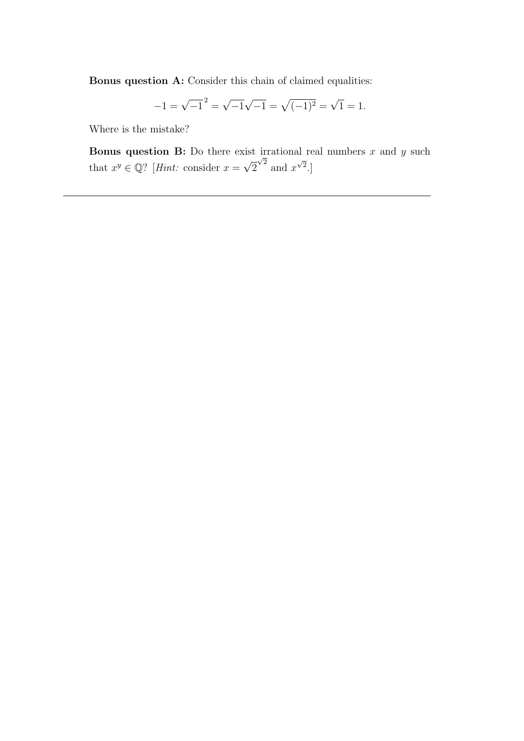Bonus question A: Consider this chain of claimed equalities:

$$
-1 = \sqrt{-1}^2 = \sqrt{-1}\sqrt{-1} = \sqrt{(-1)^2} = \sqrt{1} = 1.
$$

Where is the mistake?

**Bonus question B:** Do there exist irrational real numbers  $x$  and  $y$  such that  $x^y \in \mathbb{Q}$ ? [*Hint:* consider  $x = \sqrt{2}$  $\sqrt{2}$  and  $x^{\sqrt{2}}$ .]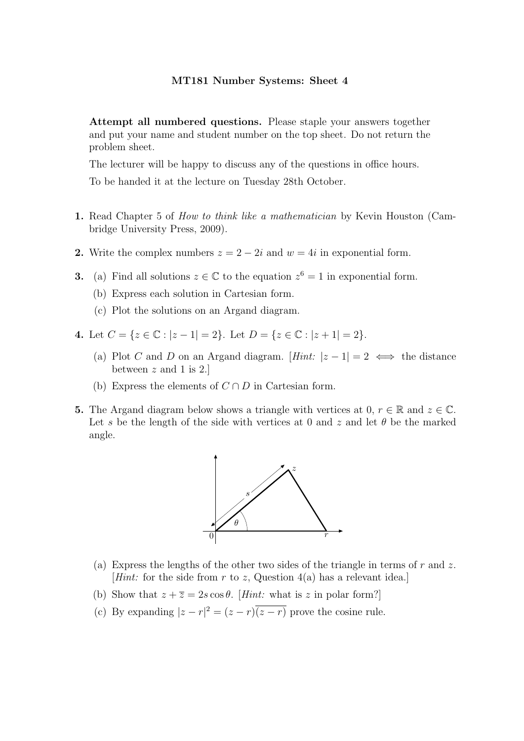Attempt all numbered questions. Please staple your answers together and put your name and student number on the top sheet. Do not return the problem sheet.

The lecturer will be happy to discuss any of the questions in office hours.

To be handed it at the lecture on Tuesday 28th October.

- 1. Read Chapter 5 of *How to think like a mathematician* by Kevin Houston (Cambridge University Press, 2009).
- 2. Write the complex numbers  $z = 2 2i$  and  $w = 4i$  in exponential form.
- **3.** (a) Find all solutions  $z \in \mathbb{C}$  to the equation  $z^6 = 1$  in exponential form.
	- (b) Express each solution in Cartesian form.
	- (c) Plot the solutions on an Argand diagram.
- 4. Let  $C = \{z \in \mathbb{C} : |z 1| = 2\}$ . Let  $D = \{z \in \mathbb{C} : |z + 1| = 2\}$ .
	- (a) Plot C and D on an Argand diagram.  $[Hint: |z-1| = 2 \iff$  the distance between  $z$  and 1 is 2.
	- (b) Express the elements of  $C \cap D$  in Cartesian form.
- 5. The Argand diagram below shows a triangle with vertices at 0,  $r \in \mathbb{R}$  and  $z \in \mathbb{C}$ . Let s be the length of the side with vertices at 0 and z and let  $\theta$  be the marked angle.



- (a) Express the lengths of the other two sides of the triangle in terms of r and z. [*Hint*: for the side from r to z, Question  $4(a)$  has a relevant idea.]
- (b) Show that  $z + \overline{z} = 2s \cos \theta$ . [Hint: what is z in polar form?]
- (c) By expanding  $|z r|^2 = (z r)(z r)$  prove the cosine rule.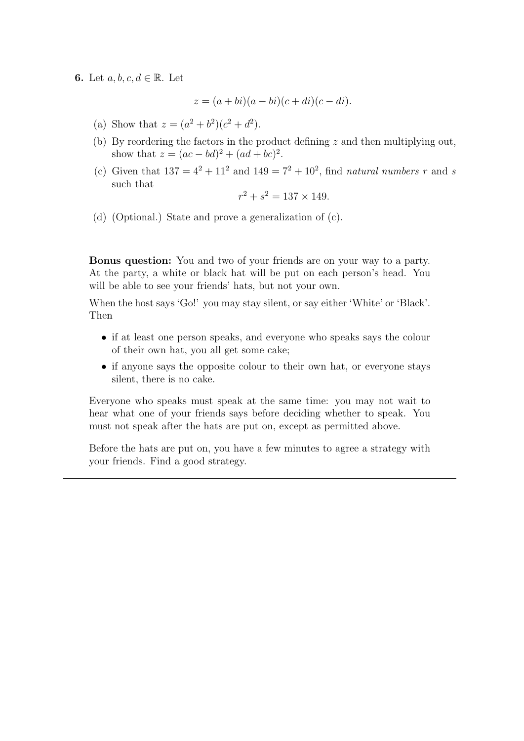6. Let  $a, b, c, d \in \mathbb{R}$ . Let

$$
z = (a + bi)(a - bi)(c + di)(c - di).
$$

- (a) Show that  $z = (a^2 + b^2)(c^2 + d^2)$ .
- (b) By reordering the factors in the product defining  $z$  and then multiplying out, show that  $z = (ac - bd)^2 + (ad + bc)^2$ .
- (c) Given that  $137 = 4^2 + 11^2$  and  $149 = 7^2 + 10^2$ , find *natural numbers* r and s such that

$$
r^2 + s^2 = 137 \times 149.
$$

(d) (Optional.) State and prove a generalization of (c).

Bonus question: You and two of your friends are on your way to a party. At the party, a white or black hat will be put on each person's head. You will be able to see your friends' hats, but not your own.

When the host says 'Go!' you may stay silent, or say either 'White' or 'Black'. Then

- if at least one person speaks, and everyone who speaks says the colour of their own hat, you all get some cake;
- if anyone says the opposite colour to their own hat, or everyone stays silent, there is no cake.

Everyone who speaks must speak at the same time: you may not wait to hear what one of your friends says before deciding whether to speak. You must not speak after the hats are put on, except as permitted above.

Before the hats are put on, you have a few minutes to agree a strategy with your friends. Find a good strategy.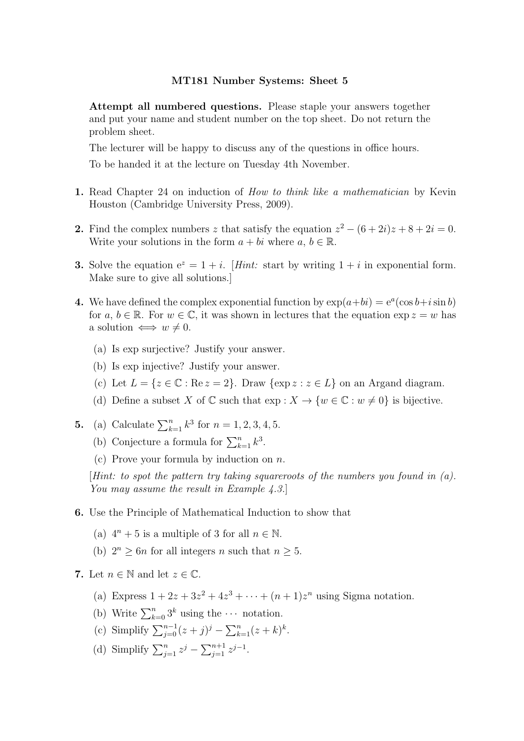Attempt all numbered questions. Please staple your answers together and put your name and student number on the top sheet. Do not return the problem sheet.

The lecturer will be happy to discuss any of the questions in office hours.

To be handed it at the lecture on Tuesday 4th November.

- 1. Read Chapter 24 on induction of *How to think like a mathematician* by Kevin Houston (Cambridge University Press, 2009).
- 2. Find the complex numbers z that satisfy the equation  $z^2 (6 + 2i)z + 8 + 2i = 0$ . Write your solutions in the form  $a + bi$  where  $a, b \in \mathbb{R}$ .
- **3.** Solve the equation  $e^z = 1 + i$ . [Hint: start by writing  $1 + i$  in exponential form. Make sure to give all solutions.]
- 4. We have defined the complex exponential function by  $\exp(a+bi) = e^a(\cos b + i \sin b)$ for a,  $b \in \mathbb{R}$ . For  $w \in \mathbb{C}$ , it was shown in lectures that the equation  $\exp z = w$  has a solution  $\iff w \neq 0$ .
	- (a) Is exp surjective? Justify your answer.
	- (b) Is exp injective? Justify your answer.
	- (c) Let  $L = \{z \in \mathbb{C} : \text{Re } z = 2\}$ . Draw  $\{\exp z : z \in L\}$  on an Argand diagram.
	- (d) Define a subset X of  $\mathbb C$  such that  $\exp : X \to \{w \in \mathbb C : w \neq 0\}$  is bijective.
- **5.** (a) Calculate  $\sum_{k=1}^{n} k^3$  for  $n = 1, 2, 3, 4, 5$ .
	- (b) Conjecture a formula for  $\sum_{k=1}^{n} k^3$ .
	- (c) Prove your formula by induction on  $n$ .

[Hint: to spot the pattern try taking squareroots of the numbers you found in  $(a)$ . You may assume the result in Example 4.3.

- 6. Use the Principle of Mathematical Induction to show that
	- (a)  $4^n + 5$  is a multiple of 3 for all  $n \in \mathbb{N}$ .
	- (b)  $2^n \geq 6n$  for all integers n such that  $n \geq 5$ .
- 7. Let  $n \in \mathbb{N}$  and let  $z \in \mathbb{C}$ .
	- (a) Express  $1 + 2z + 3z^2 + 4z^3 + \cdots + (n+1)z^n$  using Sigma notation.
	- (b) Write  $\sum_{k=0}^{n} 3^k$  using the  $\cdots$  notation.
	- (c) Simplify  $\sum_{j=0}^{n-1} (z+j)^j \sum_{k=1}^{n} (z+k)^k$ .
	- (d) Simplify  $\sum_{j=1}^{n} z^{j} \sum_{j=1}^{n+1} z^{j-1}$ .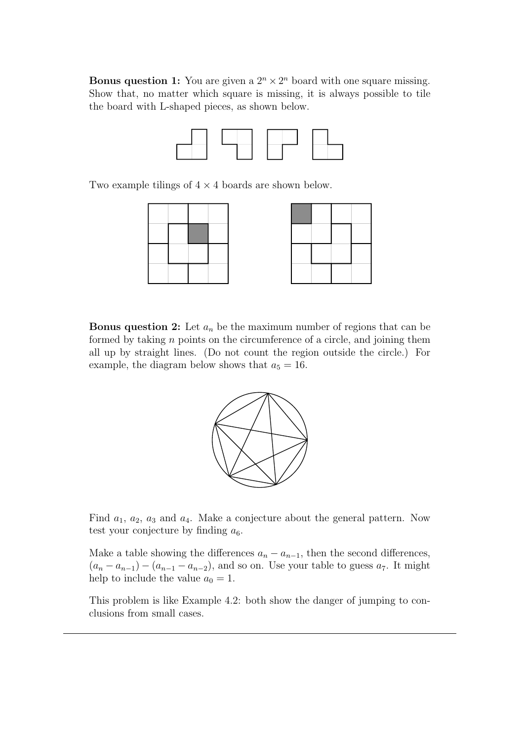**Bonus question 1:** You are given a  $2^n \times 2^n$  board with one square missing. Show that, no matter which square is missing, it is always possible to tile the board with L-shaped pieces, as shown below.



Two example tilings of  $4 \times 4$  boards are shown below.



**Bonus question 2:** Let  $a_n$  be the maximum number of regions that can be formed by taking  $n$  points on the circumference of a circle, and joining them all up by straight lines. (Do not count the region outside the circle.) For example, the diagram below shows that  $a_5 = 16$ .



Find  $a_1, a_2, a_3$  and  $a_4$ . Make a conjecture about the general pattern. Now test your conjecture by finding  $a_6$ .

Make a table showing the differences  $a_n - a_{n-1}$ , then the second differences,  $(a_n - a_{n-1}) - (a_{n-1} - a_{n-2})$ , and so on. Use your table to guess  $a_7$ . It might help to include the value  $a_0 = 1$ .

This problem is like Example 4.2: both show the danger of jumping to conclusions from small cases.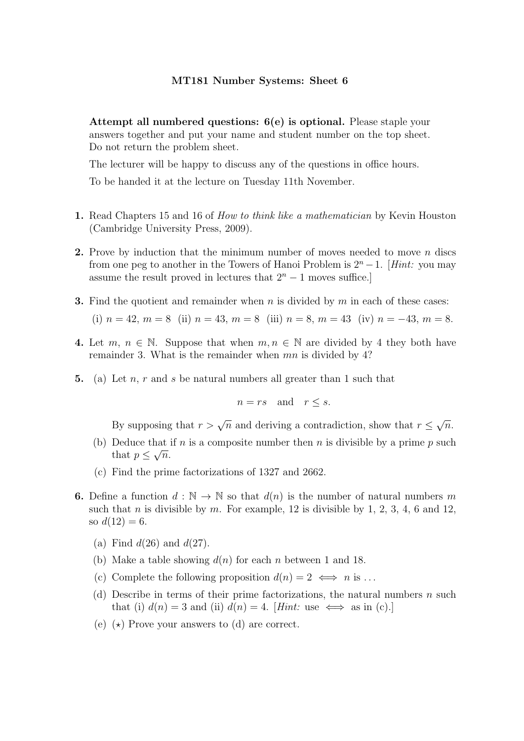Attempt all numbered questions: 6(e) is optional. Please staple your answers together and put your name and student number on the top sheet. Do not return the problem sheet.

The lecturer will be happy to discuss any of the questions in office hours.

To be handed it at the lecture on Tuesday 11th November.

- 1. Read Chapters 15 and 16 of *How to think like a mathematician* by Kevin Houston (Cambridge University Press, 2009).
- **2.** Prove by induction that the minimum number of moves needed to move  $n$  discs from one peg to another in the Towers of Hanoi Problem is  $2<sup>n</sup> - 1$ . [Hint: you may assume the result proved in lectures that  $2<sup>n</sup> - 1$  moves suffice.]
- **3.** Find the quotient and remainder when n is divided by m in each of these cases:

(i) 
$$
n = 42
$$
,  $m = 8$  (ii)  $n = 43$ ,  $m = 8$  (iii)  $n = 8$ ,  $m = 43$  (iv)  $n = -43$ ,  $m = 8$ .

- 4. Let m,  $n \in \mathbb{N}$ . Suppose that when  $m, n \in \mathbb{N}$  are divided by 4 they both have remainder 3. What is the remainder when mn is divided by 4?
- 5. (a) Let n, r and s be natural numbers all greater than 1 such that

$$
n = rs \quad \text{and} \quad r \le s.
$$

By supposing that  $r > \sqrt{n}$  and deriving a contradiction, show that  $r \leq \sqrt{n}$ .

- (b) Deduce that if n is a composite number then n is divisible by a prime p such that  $p \leq \sqrt{n}$ .
- (c) Find the prime factorizations of 1327 and 2662.
- **6.** Define a function  $d : \mathbb{N} \to \mathbb{N}$  so that  $d(n)$  is the number of natural numbers m such that n is divisible by m. For example, 12 is divisible by 1, 2, 3, 4, 6 and 12, so  $d(12) = 6$ .
	- (a) Find  $d(26)$  and  $d(27)$ .
	- (b) Make a table showing  $d(n)$  for each n between 1 and 18.
	- (c) Complete the following proposition  $d(n) = 2 \iff n$  is ...
	- (d) Describe in terms of their prime factorizations, the natural numbers  $n$  such that (i)  $d(n) = 3$  and (ii)  $d(n) = 4$ . [Hint: use  $\iff$  as in (c).]
	- (e)  $(\star)$  Prove your answers to (d) are correct.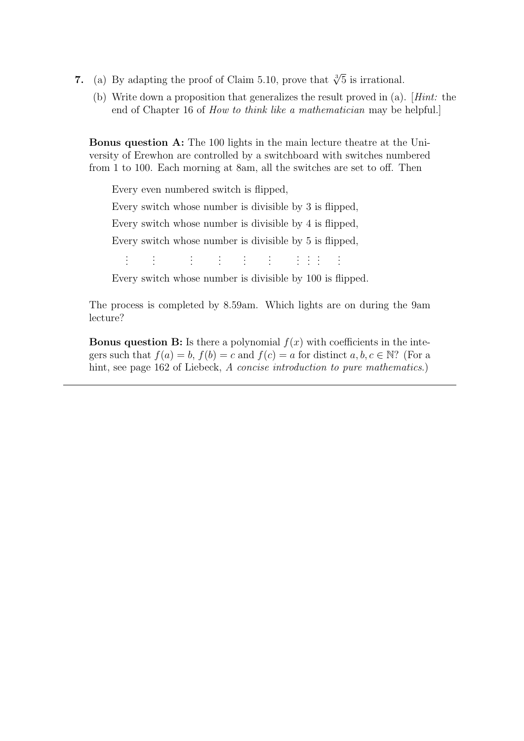- 7. (a) By adapting the proof of Claim 5.10, prove that  $\sqrt[3]{5}$  is irrational.
	- (b) Write down a proposition that generalizes the result proved in (a). [Hint: the end of Chapter 16 of How to think like a mathematician may be helpful.]

Bonus question A: The 100 lights in the main lecture theatre at the University of Erewhon are controlled by a switchboard with switches numbered from 1 to 100. Each morning at 8am, all the switches are set to off. Then

Every even numbered switch is flipped,

Every switch whose number is divisible by 3 is flipped,

Every switch whose number is divisible by 4 is flipped,

Every switch whose number is divisible by 5 is flipped,

. . . . . . . . . . . . . . . . . . . . . . . . . . . . . .

Every switch whose number is divisible by 100 is flipped.

The process is completed by 8.59am. Which lights are on during the 9am lecture?

**Bonus question B:** Is there a polynomial  $f(x)$  with coefficients in the integers such that  $f(a) = b$ ,  $f(b) = c$  and  $f(c) = a$  for distinct  $a, b, c \in \mathbb{N}$ ? (For a hint, see page 162 of Liebeck, A concise introduction to pure mathematics.)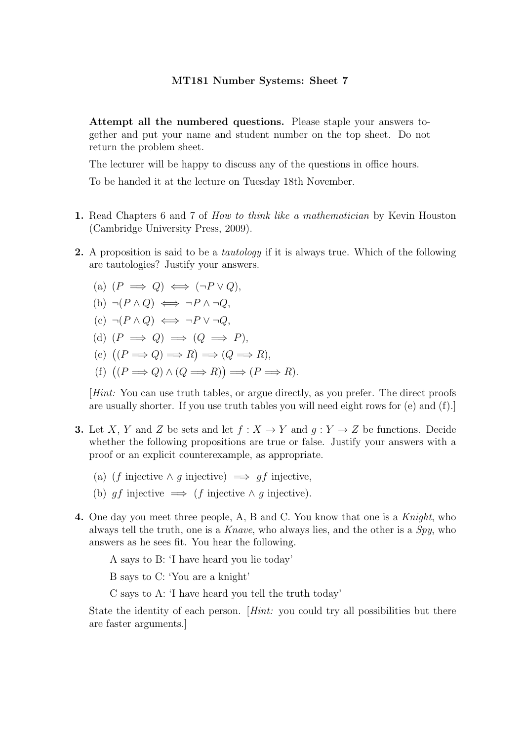Attempt all the numbered questions. Please staple your answers together and put your name and student number on the top sheet. Do not return the problem sheet.

The lecturer will be happy to discuss any of the questions in office hours.

To be handed it at the lecture on Tuesday 18th November.

- 1. Read Chapters 6 and 7 of How to think like a mathematician by Kevin Houston (Cambridge University Press, 2009).
- 2. A proposition is said to be a *tautology* if it is always true. Which of the following are tautologies? Justify your answers.
	- (a)  $(P \implies Q) \iff (\neg P \lor Q)$ , (b)  $\neg (P \land Q) \iff \neg P \land \neg Q$ ,  $(c) \neg (P \land Q) \iff \neg P \lor \neg Q$ , (d)  $(P \implies Q) \implies (Q \implies P)$ , (e)  $(P \Longrightarrow Q) \Longrightarrow R) \Longrightarrow (Q \Longrightarrow R),$ (f)  $((P \Longrightarrow Q) \land (Q \Longrightarrow R)) \Longrightarrow (P \Longrightarrow R)$ .

[Hint: You can use truth tables, or argue directly, as you prefer. The direct proofs are usually shorter. If you use truth tables you will need eight rows for (e) and (f).]

- **3.** Let X, Y and Z be sets and let  $f : X \to Y$  and  $q : Y \to Z$  be functions. Decide whether the following propositions are true or false. Justify your answers with a proof or an explicit counterexample, as appropriate.
	- (a) (f injective  $\land$  q injective)  $\implies$  q f injective.
	- (b) gf injective  $\implies$  (f injective  $\land$  g injective).
- 4. One day you meet three people, A, B and C. You know that one is a Knight, who always tell the truth, one is a Knave, who always lies, and the other is a  $Spy$ , who answers as he sees fit. You hear the following.

A says to B: 'I have heard you lie today'

B says to C: 'You are a knight'

C says to A: 'I have heard you tell the truth today'

State the identity of each person. [Hint: you could try all possibilities but there are faster arguments.]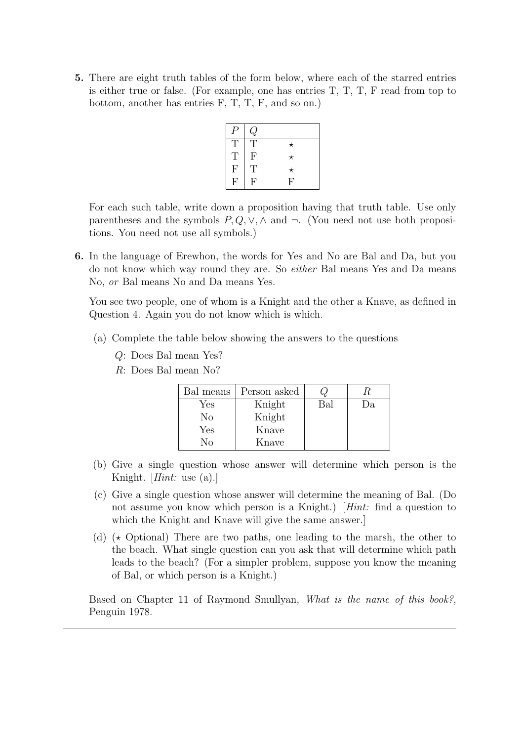5. There are eight truth tables of the form below, where each of the starred entries is either true or false. (For example, one has entries T, T, T, F read from top to bottom, another has entries F, T, T, F, and so on.)

| Ρ                         | $\cal Q$                  |          |
|---------------------------|---------------------------|----------|
| T                         | Τ                         | $^\star$ |
| T                         | $\boldsymbol{\mathrm{F}}$ | $^\star$ |
| $\boldsymbol{\mathrm{F}}$ | $\mathbf T$               | $^\star$ |
| F                         | $\mathbf{F}$              | F        |

For each such table, write down a proposition having that truth table. Use only parentheses and the symbols  $P, Q, V, \wedge$  and  $\neg$ . (You need not use both propositions. You need not use all symbols.)

6. In the language of Erewhon, the words for Yes and No are Bal and Da, but you do not know which way round they are. So either Bal means Yes and Da means No, or Bal means No and Da means Yes.

You see two people, one of whom is a Knight and the other a Knave, as defined in Question 4. Again you do not know which is which.

- (a) Complete the table below showing the answers to the questions
	- Q: Does Bal mean Yes?
	- R: Does Bal mean No?

| Bal means | Person asked |     |    |
|-----------|--------------|-----|----|
| Yes       | Knight       | Bal | Da |
| Nο        | Knight       |     |    |
| Yes       | Knave        |     |    |
| Νο        | Knave        |     |    |

- (b) Give a single question whose answer will determine which person is the Knight. [Hint: use (a).]
- (c) Give a single question whose answer will determine the meaning of Bal. (Do not assume you know which person is a Knight.) [Hint: find a question to which the Knight and Knave will give the same answer.]
- (d)  $\star$  Optional) There are two paths, one leading to the marsh, the other to the beach. What single question can you ask that will determine which path leads to the beach? (For a simpler problem, suppose you know the meaning of Bal, or which person is a Knight.)

Based on Chapter 11 of Raymond Smullyan, What is the name of this book?, Penguin 1978.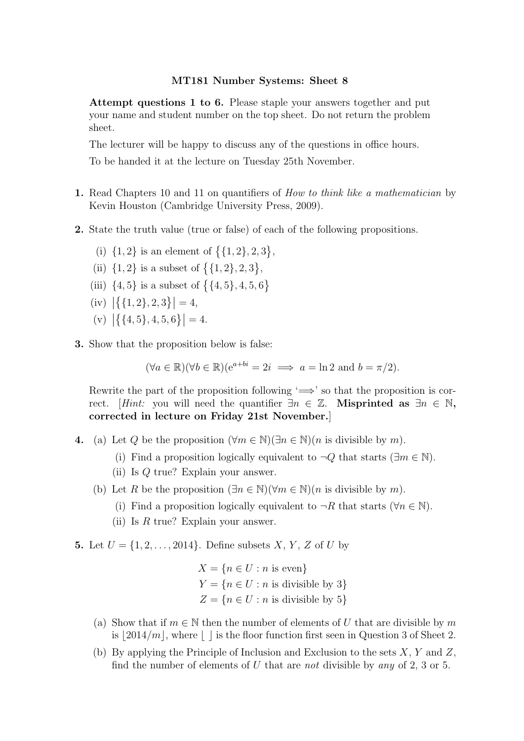Attempt questions 1 to 6. Please staple your answers together and put your name and student number on the top sheet. Do not return the problem sheet.

The lecturer will be happy to discuss any of the questions in office hours.

To be handed it at the lecture on Tuesday 25th November.

- 1. Read Chapters 10 and 11 on quantifiers of *How to think like a mathematician* by Kevin Houston (Cambridge University Press, 2009).
- 2. State the truth value (true or false) of each of the following propositions.
	- (i)  $\{1, 2\}$  is an element of  $\{\{1, 2\}, 2, 3\},\$
	- (ii)  $\{1, 2\}$  is a subset of  $\{\{1, 2\}, 2, 3\},\$
	- (iii)  $\{4,5\}$  is a subset of  $\bigl\{\{4,5\},4,5,6\bigr\}$
	- (iv)  $|\{(1,2),2,3\}|=4,$
	- (v)  $|\{(4,5\},4,5,6\}|=4.$
- 3. Show that the proposition below is false:

$$
(\forall a \in \mathbb{R})(\forall b \in \mathbb{R})(e^{a+bi} = 2i \implies a = \ln 2 \text{ and } b = \pi/2).
$$

Rewrite the part of the proposition following  $\Rightarrow$  so that the proposition is correct. [Hint: you will need the quantifier  $\exists n \in \mathbb{Z}$ . Misprinted as  $\exists n \in \mathbb{N}$ , corrected in lecture on Friday 21st November.]

- 4. (a) Let Q be the proposition  $(\forall m \in \mathbb{N})(\exists n \in \mathbb{N})(n$  is divisible by m).
	- (i) Find a proposition logically equivalent to  $\neg Q$  that starts ( $\exists m \in \mathbb{N}$ ).
	- (ii) Is Q true? Explain your answer.
	- (b) Let R be the proposition  $(\exists n \in \mathbb{N})(\forall m \in \mathbb{N})(n$  is divisible by m).
		- (i) Find a proposition logically equivalent to  $\neg R$  that starts ( $\forall n \in \mathbb{N}$ ).
		- (ii) Is  $R$  true? Explain your answer.
- **5.** Let  $U = \{1, 2, ..., 2014\}$ . Define subsets X, Y, Z of U by

$$
X = \{n \in U : n \text{ is even}\}\
$$
  

$$
Y = \{n \in U : n \text{ is divisible by 3}\}\
$$
  

$$
Z = \{n \in U : n \text{ is divisible by 5}\}\
$$

- (a) Show that if  $m \in \mathbb{N}$  then the number of elements of U that are divisible by m is  $\lfloor 2014/m \rfloor$ , where  $\lfloor \cdot \rfloor$  is the floor function first seen in Question 3 of Sheet 2.
- (b) By applying the Principle of Inclusion and Exclusion to the sets  $X, Y$  and  $Z$ , find the number of elements of U that are not divisible by any of 2, 3 or 5.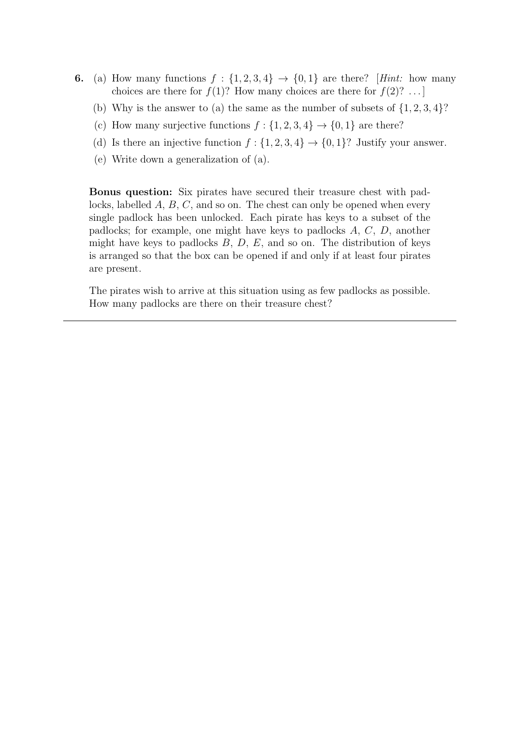- 6. (a) How many functions  $f: \{1,2,3,4\} \rightarrow \{0,1\}$  are there? [Hint: how many choices are there for  $f(1)$ ? How many choices are there for  $f(2)$ ? ...
	- (b) Why is the answer to (a) the same as the number of subsets of  $\{1, 2, 3, 4\}$ ?
	- (c) How many surjective functions  $f: \{1, 2, 3, 4\} \rightarrow \{0, 1\}$  are there?
	- (d) Is there an injective function  $f: \{1, 2, 3, 4\} \rightarrow \{0, 1\}$ ? Justify your answer.
	- (e) Write down a generalization of (a).

Bonus question: Six pirates have secured their treasure chest with padlocks, labelled A, B, C, and so on. The chest can only be opened when every single padlock has been unlocked. Each pirate has keys to a subset of the padlocks; for example, one might have keys to padlocks A, C, D, another might have keys to padlocks  $B, D, E$ , and so on. The distribution of keys is arranged so that the box can be opened if and only if at least four pirates are present.

The pirates wish to arrive at this situation using as few padlocks as possible. How many padlocks are there on their treasure chest?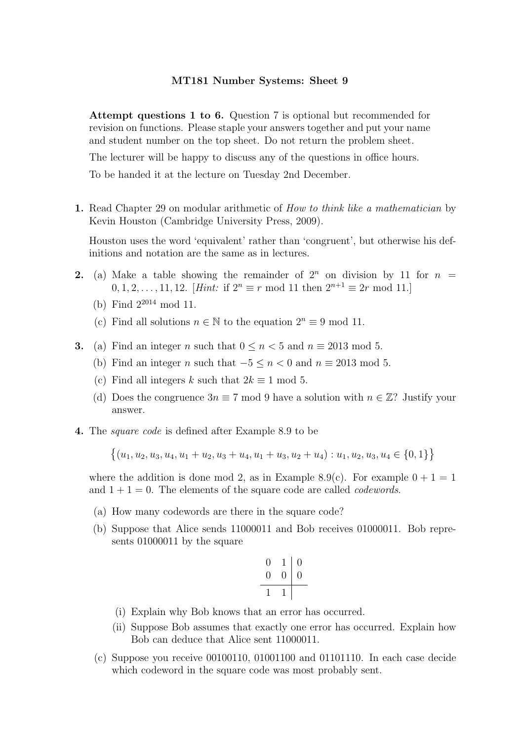Attempt questions 1 to 6. Question 7 is optional but recommended for revision on functions. Please staple your answers together and put your name and student number on the top sheet. Do not return the problem sheet.

The lecturer will be happy to discuss any of the questions in office hours.

To be handed it at the lecture on Tuesday 2nd December.

1. Read Chapter 29 on modular arithmetic of *How to think like a mathematician* by Kevin Houston (Cambridge University Press, 2009).

Houston uses the word 'equivalent' rather than 'congruent', but otherwise his definitions and notation are the same as in lectures.

- 2. (a) Make a table showing the remainder of  $2^n$  on division by 11 for  $n =$ 0, 1, 2, . . . , 11, 12. [Hint: if  $2^n \equiv r \mod 11$  then  $2^{n+1} \equiv 2r \mod 11$ .]
	- (b) Find 2<sup>2014</sup> mod 11.
	- (c) Find all solutions  $n \in \mathbb{N}$  to the equation  $2^n \equiv 9 \mod 11$ .
- **3.** (a) Find an integer n such that  $0 \le n < 5$  and  $n \equiv 2013 \mod 5$ .
	- (b) Find an integer n such that  $-5 \le n < 0$  and  $n \equiv 2013 \mod 5$ .
	- (c) Find all integers k such that  $2k \equiv 1 \mod 5$ .
	- (d) Does the congruence  $3n \equiv 7 \mod 9$  have a solution with  $n \in \mathbb{Z}$ ? Justify your answer.
- 4. The square code is defined after Example 8.9 to be

 $\{(u_1, u_2, u_3, u_4, u_1 + u_2, u_3 + u_4, u_1 + u_3, u_2 + u_4) : u_1, u_2, u_3, u_4 \in \{0, 1\}\}$ 

where the addition is done mod 2, as in Example 8.9(c). For example  $0 + 1 = 1$ and  $1 + 1 = 0$ . The elements of the square code are called *codewords*.

- (a) How many codewords are there in the square code?
- (b) Suppose that Alice sends 11000011 and Bob receives 01000011. Bob represents 01000011 by the square

$$
\begin{array}{c|c|c}\n0 & 1 & 0 \\
\hline\n0 & 0 & 0 \\
\hline\n1 & 1 & \n\end{array}
$$

- (i) Explain why Bob knows that an error has occurred.
- (ii) Suppose Bob assumes that exactly one error has occurred. Explain how Bob can deduce that Alice sent 11000011.
- (c) Suppose you receive 00100110, 01001100 and 01101110. In each case decide which codeword in the square code was most probably sent.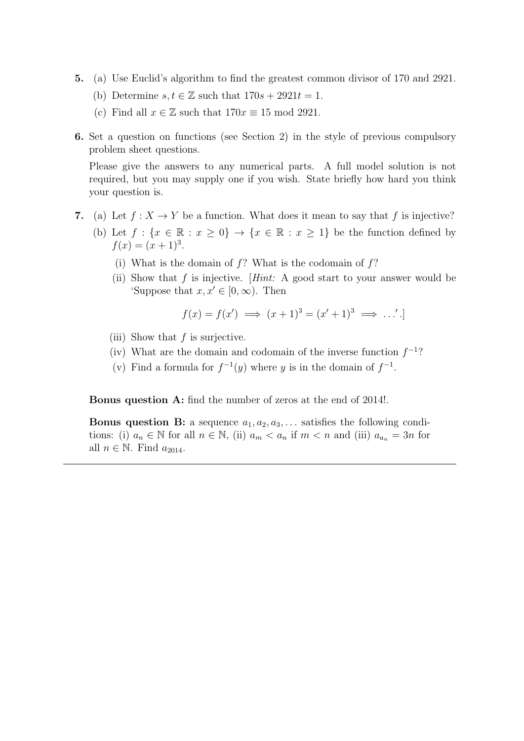- 5. (a) Use Euclid's algorithm to find the greatest common divisor of 170 and 2921.
	- (b) Determine  $s, t \in \mathbb{Z}$  such that  $170s + 2921t = 1$ .
	- (c) Find all  $x \in \mathbb{Z}$  such that  $170x \equiv 15 \mod 2921$ .
- 6. Set a question on functions (see Section 2) in the style of previous compulsory problem sheet questions.

Please give the answers to any numerical parts. A full model solution is not required, but you may supply one if you wish. State briefly how hard you think your question is.

- 7. (a) Let  $f : X \to Y$  be a function. What does it mean to say that f is injective?
	- (b) Let  $f: \{x \in \mathbb{R} : x \ge 0\} \to \{x \in \mathbb{R} : x \ge 1\}$  be the function defined by  $f(x) = (x+1)^3$ .
		- (i) What is the domain of  $f$ ? What is the codomain of  $f$ ?
		- (ii) Show that  $f$  is injective. [Hint: A good start to your answer would be 'Suppose that  $x, x' \in [0, \infty)$ . Then

$$
f(x) = f(x') \implies (x+1)^3 = (x'+1)^3 \implies \dots'.
$$

- (iii) Show that  $f$  is surjective.
- (iv) What are the domain and codomain of the inverse function  $f^{-1}$ ?
- (v) Find a formula for  $f^{-1}(y)$  where y is in the domain of  $f^{-1}$ .

Bonus question A: find the number of zeros at the end of 2014!.

**Bonus question B:** a sequence  $a_1, a_2, a_3, \ldots$  satisfies the following conditions: (i)  $a_n \in \mathbb{N}$  for all  $n \in \mathbb{N}$ , (ii)  $a_m < a_n$  if  $m < n$  and (iii)  $a_{a_n} = 3n$  for all  $n \in \mathbb{N}$ . Find  $a_{2014}$ .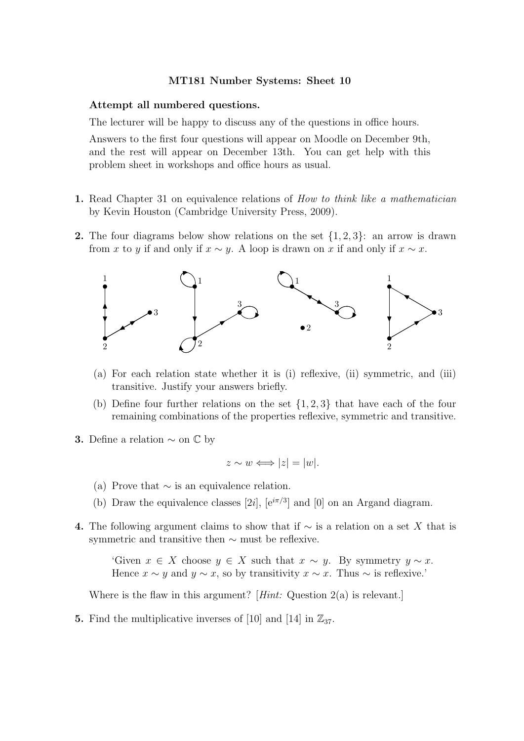#### Attempt all numbered questions.

The lecturer will be happy to discuss any of the questions in office hours.

Answers to the first four questions will appear on Moodle on December 9th, and the rest will appear on December 13th. You can get help with this problem sheet in workshops and office hours as usual.

- 1. Read Chapter 31 on equivalence relations of *How to think like a mathematician* by Kevin Houston (Cambridge University Press, 2009).
- **2.** The four diagrams below show relations on the set  $\{1, 2, 3\}$ : an arrow is drawn from x to y if and only if  $x \sim y$ . A loop is drawn on x if and only if  $x \sim x$ .



- (a) For each relation state whether it is (i) reflexive, (ii) symmetric, and (iii) transitive. Justify your answers briefly.
- (b) Define four further relations on the set  $\{1, 2, 3\}$  that have each of the four remaining combinations of the properties reflexive, symmetric and transitive.
- 3. Define a relation  $\sim$  on  $\mathbb{C}$  by

$$
z \sim w \Longleftrightarrow |z| = |w|.
$$

- (a) Prove that  $\sim$  is an equivalence relation.
- (b) Draw the equivalence classes [2i],  $[e^{i\pi/3}]$  and [0] on an Argand diagram.
- 4. The following argument claims to show that if  $\sim$  is a relation on a set X that is symmetric and transitive then ∼ must be reflexive.

'Given  $x \in X$  choose  $y \in X$  such that  $x \sim y$ . By symmetry  $y \sim x$ . Hence  $x \sim y$  and  $y \sim x$ , so by transitivity  $x \sim x$ . Thus  $\sim$  is reflexive.'

Where is the flaw in this argument? [*Hint:* Question  $2(a)$  is relevant.]

5. Find the multiplicative inverses of [10] and [14] in  $\mathbb{Z}_{37}$ .